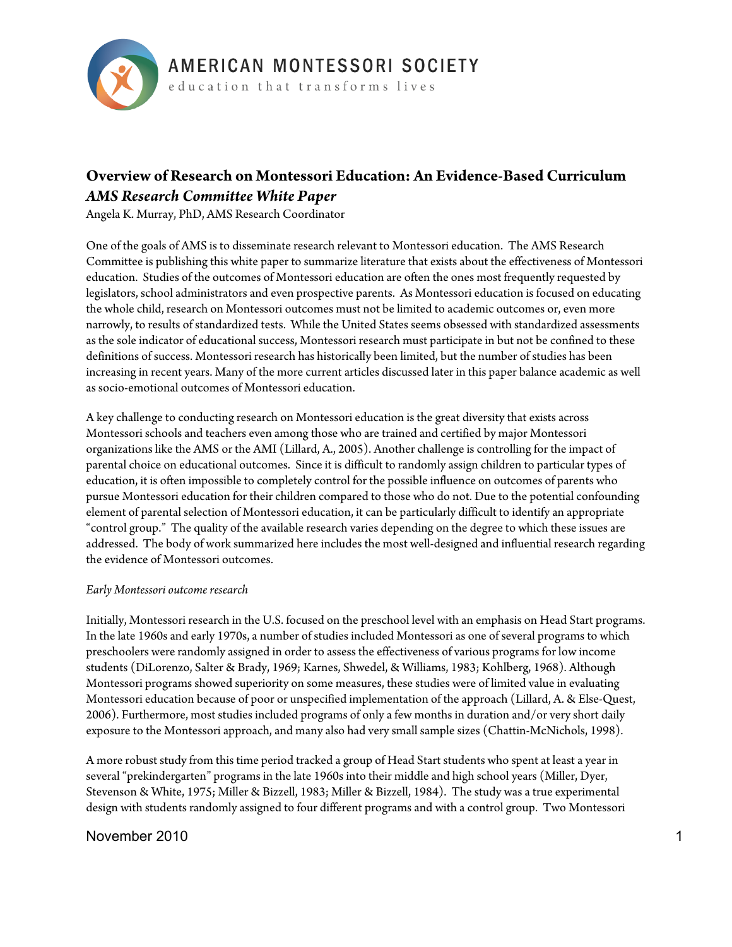

# **Overview of Research on Montessori Education: An Evidence-Based Curriculum** *AMS Research Committee White Paper*

Angela K. Murray, PhD, AMS Research Coordinator

One of the goals of AMS is to disseminate research relevant to Montessori education. The AMS Research Committee is publishing this white paper to summarize literature that exists about the effectiveness of Montessori education. Studies of the outcomes of Montessori education are often the ones most frequently requested by legislators, school administrators and even prospective parents. As Montessori education is focused on educating the whole child, research on Montessori outcomes must not be limited to academic outcomes or, even more narrowly, to results of standardized tests. While the United States seems obsessed with standardized assessments as the sole indicator of educational success, Montessori research must participate in but not be confined to these definitions of success. Montessori research has historically been limited, but the number of studies has been increasing in recent years. Many of the more current articles discussed later in this paper balance academic as well as socio-emotional outcomes of Montessori education.

A key challenge to conducting research on Montessori education is the great diversity that exists across Montessori schools and teachers even among those who are trained and certified by major Montessori organizations like the AMS or the AMI (Lillard, A., 2005). Another challenge is controlling for the impact of parental choice on educational outcomes. Since it is difficult to randomly assign children to particular types of education, it is often impossible to completely control for the possible influence on outcomes of parents who pursue Montessori education for their children compared to those who do not. Due to the potential confounding element of parental selection of Montessori education, it can be particularly difficult to identify an appropriate "control group." The quality of the available research varies depending on the degree to which these issues are addressed. The body of work summarized here includes the most well-designed and influential research regarding the evidence of Montessori outcomes.

### *Early Montessori outcome research*

Initially, Montessori research in the U.S. focused on the preschool level with an emphasis on Head Start programs. In the late 1960s and early 1970s, a number of studies included Montessori as one of several programs to which preschoolers were randomly assigned in order to assess the effectiveness of various programs for low income students (DiLorenzo, Salter & Brady, 1969; Karnes, Shwedel, & Williams, 1983; Kohlberg, 1968). Although Montessori programs showed superiority on some measures, these studies were of limited value in evaluating Montessori education because of poor or unspecified implementation of the approach (Lillard, A. & Else-Quest, 2006). Furthermore, most studies included programs of only a few months in duration and/or very short daily exposure to the Montessori approach, and many also had very small sample sizes (Chattin-McNichols, 1998).

A more robust study from this time period tracked a group of Head Start students who spent at least a year in several "prekindergarten" programs in the late 1960s into their middle and high school years (Miller, Dyer, Stevenson & White, 1975; Miller & Bizzell, 1983; Miller & Bizzell, 1984). The study was a true experimental design with students randomly assigned to four different programs and with a control group. Two Montessori

## November 2010 1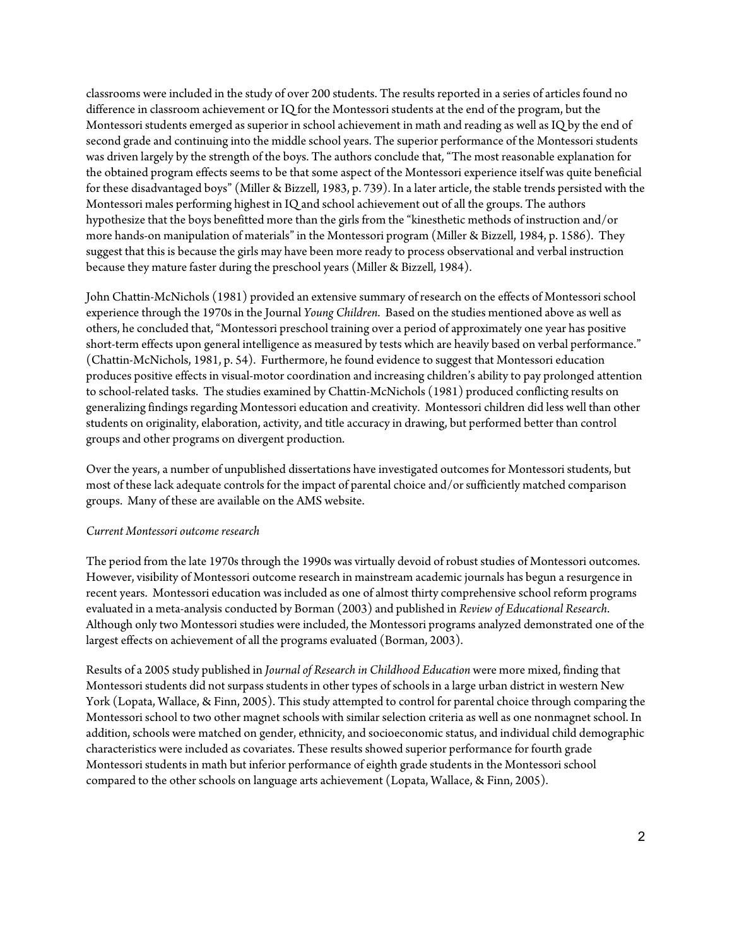classrooms were included in the study of over 200 students. The results reported in a series of articles found no difference in classroom achievement or IQ for the Montessori students at the end of the program, but the Montessori students emerged as superior in school achievement in math and reading as well as IQ by the end of second grade and continuing into the middle school years. The superior performance of the Montessori students was driven largely by the strength of the boys. The authors conclude that, "The most reasonable explanation for the obtained program effects seems to be that some aspect of the Montessori experience itself was quite beneficial for these disadvantaged boys" (Miller & Bizzell, 1983, p. 739). In a later article, the stable trends persisted with the Montessori males performing highest in IQ and school achievement out of all the groups. The authors hypothesize that the boys benefitted more than the girls from the "kinesthetic methods of instruction and/or more hands-on manipulation of materials" in the Montessori program (Miller & Bizzell, 1984, p. 1586). They suggest that this is because the girls may have been more ready to process observational and verbal instruction because they mature faster during the preschool years (Miller & Bizzell, 1984).

John Chattin-McNichols (1981) provided an extensive summary of research on the effects of Montessori school experience through the 1970s in the Journal *Young Children*. Based on the studies mentioned above as well as others, he concluded that, "Montessori preschool training over a period of approximately one year has positive short-term effects upon general intelligence as measured by tests which are heavily based on verbal performance." (Chattin-McNichols, 1981, p. 54). Furthermore, he found evidence to suggest that Montessori education produces positive effects in visual-motor coordination and increasing children's ability to pay prolonged attention to school-related tasks. The studies examined by Chattin-McNichols (1981) produced conflicting results on generalizing findings regarding Montessori education and creativity. Montessori children did less well than other students on originality, elaboration, activity, and title accuracy in drawing, but performed better than control groups and other programs on divergent production.

Over the years, a number of unpublished dissertations have investigated outcomes for Montessori students, but most of these lack adequate controls for the impact of parental choice and/or sufficiently matched comparison groups. Many of these are available on the AMS website.

### *Current Montessori outcome research*

The period from the late 1970s through the 1990s was virtually devoid of robust studies of Montessori outcomes. However, visibility of Montessori outcome research in mainstream academic journals has begun a resurgence in recent years. Montessori education was included as one of almost thirty comprehensive school reform programs evaluated in a meta-analysis conducted by Borman (2003) and published in *Review of Educational Research*. Although only two Montessori studies were included, the Montessori programs analyzed demonstrated one of the largest effects on achievement of all the programs evaluated (Borman, 2003).

Results of a 2005 study published in *Journal of Research in Childhood Education* were more mixed, finding that Montessori students did not surpass students in other types of schools in a large urban district in western New York (Lopata, Wallace, & Finn, 2005). This study attempted to control for parental choice through comparing the Montessori school to two other magnet schools with similar selection criteria as well as one nonmagnet school. In addition, schools were matched on gender, ethnicity, and socioeconomic status, and individual child demographic characteristics were included as covariates. These results showed superior performance for fourth grade Montessori students in math but inferior performance of eighth grade students in the Montessori school compared to the other schools on language arts achievement (Lopata, Wallace, & Finn, 2005).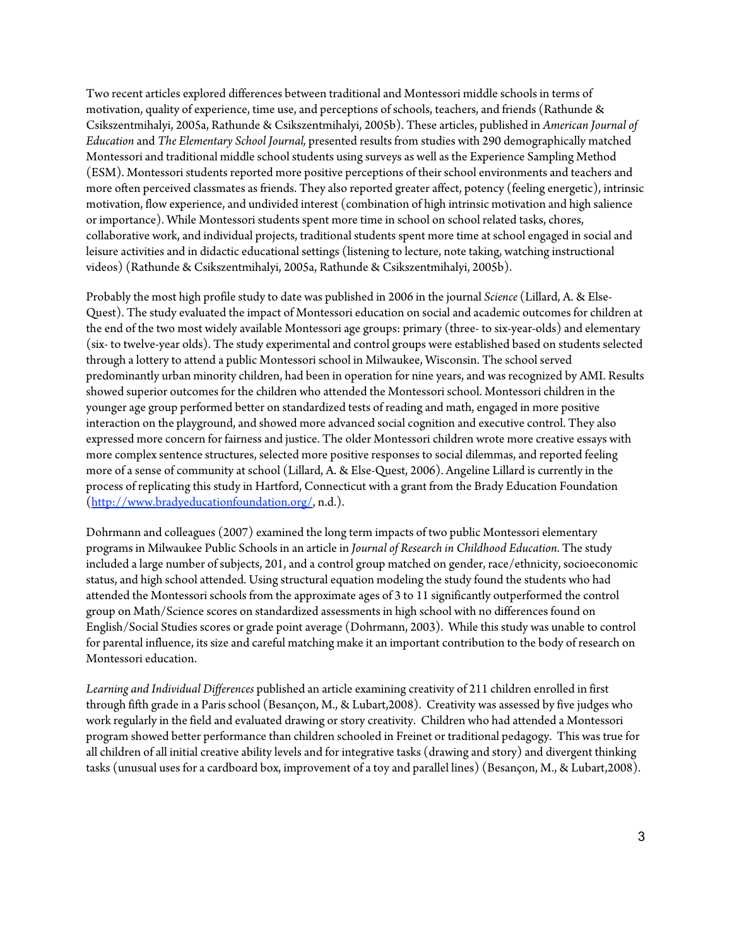Two recent articles explored differences between traditional and Montessori middle schools in terms of motivation, quality of experience, time use, and perceptions of schools, teachers, and friends (Rathunde & Csikszentmihalyi, 2005a, Rathunde & Csikszentmihalyi, 2005b). These articles, published in *American Journal of Education* and *The Elementary School Journal,* presented results from studies with 290 demographically matched Montessori and traditional middle school students using surveys as well as the Experience Sampling Method (ESM). Montessori students reported more positive perceptions of their school environments and teachers and more often perceived classmates as friends. They also reported greater affect, potency (feeling energetic), intrinsic motivation, flow experience, and undivided interest (combination of high intrinsic motivation and high salience or importance). While Montessori students spent more time in school on school related tasks, chores, collaborative work, and individual projects, traditional students spent more time at school engaged in social and leisure activities and in didactic educational settings (listening to lecture, note taking, watching instructional videos) (Rathunde & Csikszentmihalyi, 2005a, Rathunde & Csikszentmihalyi, 2005b).

Probably the most high profile study to date was published in 2006 in the journal *Science* (Lillard, A. & Else-Quest). The study evaluated the impact of Montessori education on social and academic outcomes for children at the end of the two most widely available Montessori age groups: primary (three- to six-year-olds) and elementary (six- to twelve-year olds). The study experimental and control groups were established based on students selected through a lottery to attend a public Montessori school in Milwaukee, Wisconsin. The school served predominantly urban minority children, had been in operation for nine years, and was recognized by AMI. Results showed superior outcomes for the children who attended the Montessori school. Montessori children in the younger age group performed better on standardized tests of reading and math, engaged in more positive interaction on the playground, and showed more advanced social cognition and executive control. They also expressed more concern for fairness and justice. The older Montessori children wrote more creative essays with more complex sentence structures, selected more positive responses to social dilemmas, and reported feeling more of a sense of community at school (Lillard, A. & Else-Quest, 2006). Angeline Lillard is currently in the process of replicating this study in Hartford, Connecticut with a grant from the Brady Education Foundation (http://www.bradyeducationfoundation.org/, n.d.).

Dohrmann and colleagues (2007) examined the long term impacts of two public Montessori elementary programs in Milwaukee Public Schools in an article in *Journal of Research in Childhood Education*. The study included a large number of subjects, 201, and a control group matched on gender, race/ethnicity, socioeconomic status, and high school attended. Using structural equation modeling the study found the students who had attended the Montessori schools from the approximate ages of 3 to 11 significantly outperformed the control group on Math/Science scores on standardized assessments in high school with no differences found on English/Social Studies scores or grade point average (Dohrmann, 2003). While this study was unable to control for parental influence, its size and careful matching make it an important contribution to the body of research on Montessori education.

*Learning and Individual Differences* published an article examining creativity of 211 children enrolled in first through fifth grade in a Paris school (Besançon, M., & Lubart,2008). Creativity was assessed by five judges who work regularly in the field and evaluated drawing or story creativity. Children who had attended a Montessori program showed better performance than children schooled in Freinet or traditional pedagogy. This was true for all children of all initial creative ability levels and for integrative tasks (drawing and story) and divergent thinking tasks (unusual uses for a cardboard box, improvement of a toy and parallel lines) (Besançon, M., & Lubart,2008).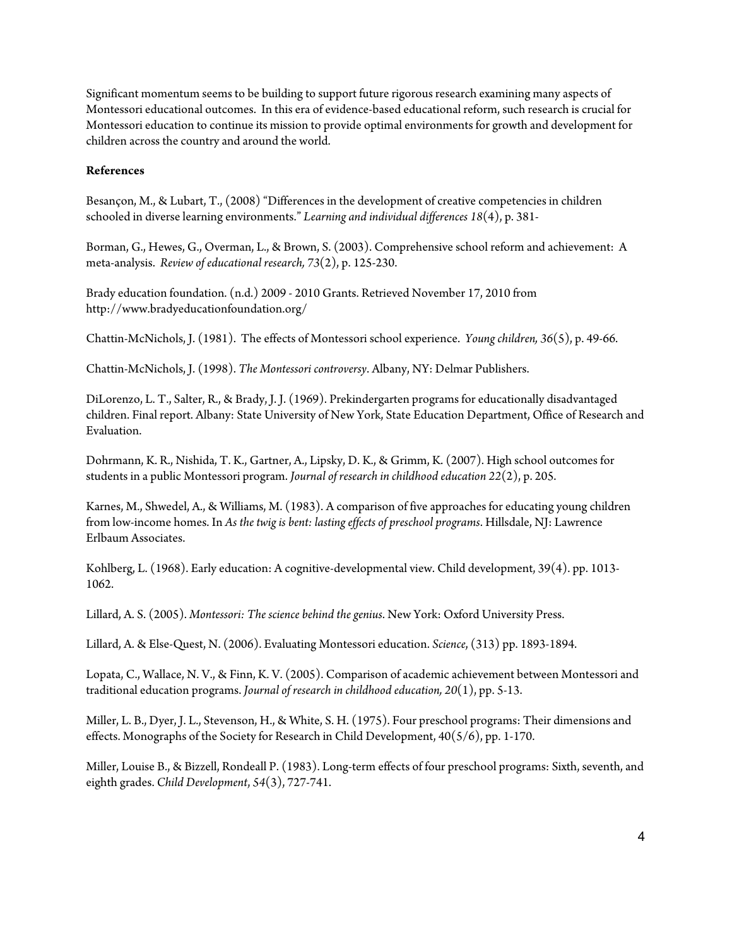Significant momentum seems to be building to support future rigorous research examining many aspects of Montessori educational outcomes. In this era of evidence-based educational reform, such research is crucial for Montessori education to continue its mission to provide optimal environments for growth and development for children across the country and around the world.

## **References**

Besançon, M., & Lubart, T., (2008) "Differences in the development of creative competencies in children schooled in diverse learning environments." *Learning and individual differences 18*(4), p. 381-

Borman, G., Hewes, G., Overman, L., & Brown, S. (2003). Comprehensive school reform and achievement: A meta-analysis. *Review of educational research, 73*(2), p. 125-230.

Brady education foundation. (n.d.) 2009 - 2010 Grants. Retrieved November 17, 2010 from http://www.bradyeducationfoundation.org/

Chattin-McNichols, J. (1981). The effects of Montessori school experience. *Young children, 36*(5), p. 49-66.

Chattin-McNichols, J. (1998). *The Montessori controversy*. Albany, NY: Delmar Publishers.

DiLorenzo, L. T., Salter, R., & Brady, J. J. (1969). Prekindergarten programs for educationally disadvantaged children. Final report. Albany: State University of New York, State Education Department, Office of Research and Evaluation.

Dohrmann, K. R., Nishida, T. K., Gartner, A., Lipsky, D. K., & Grimm, K. (2007). High school outcomes for students in a public Montessori program. *Journal of research in childhood education 22*(2), p. 205.

Karnes, M., Shwedel, A., & Williams, M. (1983). A comparison of five approaches for educating young children from low-income homes. In *As the twig is bent: lasting effects of preschool programs*. Hillsdale, NJ: Lawrence Erlbaum Associates.

Kohlberg, L. (1968). Early education: A cognitive-developmental view. Child development, 39(4). pp. 1013- 1062.

Lillard, A. S. (2005). *Montessori: The science behind the genius*. New York: Oxford University Press.

Lillard, A. & Else-Quest, N. (2006). Evaluating Montessori education. *Science*, (313) pp. 1893-1894.

Lopata, C., Wallace, N. V., & Finn, K. V. (2005). Comparison of academic achievement between Montessori and traditional education programs. *Journal of research in childhood education, 20*(1), pp. 5-13.

Miller, L. B., Dyer, J. L., Stevenson, H., & White, S. H. (1975). Four preschool programs: Their dimensions and effects. Monographs of the Society for Research in Child Development, 40(5/6), pp. 1-170.

Miller, Louise B., & Bizzell, Rondeall P. (1983). Long-term effects of four preschool programs: Sixth, seventh, and eighth grades. *Child Development*, *54*(3), 727-741.